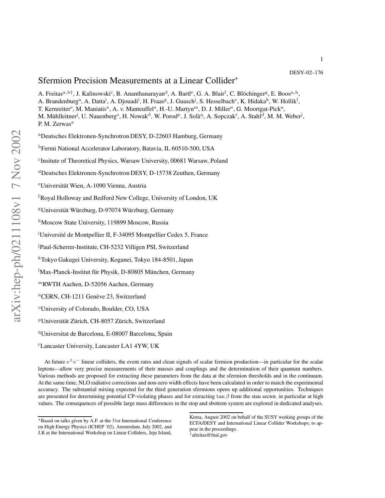1

# Sfermion Precision Measurements at a Linear Collider<sup>\*</sup>

A. Freitas<sup>a, b†</sup>, J. Kalinowski<sup>c</sup>, B. Ananthanarayan<sup>d</sup>, A. Bartl<sup>e</sup>, G. A. Blair<sup>f</sup>, C. Blöchinger<sup>g</sup>, E. Boos<sup>a, h</sup>, A. Brandenburg<sup>a</sup>, A. Datta<sup>i</sup>, A. Djouadi<sup>i</sup>, H. Fraas<sup>g</sup>, J. Guasch<sup>j</sup>, S. Hesselbach<sup>e</sup>, K. Hidaka<sup>k</sup>, W. Hollik<sup>1</sup>,

T. Kernreiter<sup>e</sup>, M. Maniatis<sup>a</sup>, A. v. Manteuffel<sup>a</sup>, H.-U. Martyn<sup>m</sup>, D. J. Miller<sup>n</sup>, G. Moortgat-Pick<sup>a</sup>,

M. Mühlleitner<sup>j</sup>, U. Nauenberg<sup>o</sup>, H. Nowak<sup>d</sup>, W. Porod<sup>p</sup>, J. Solà<sup>q</sup>, A. Sopczak<sup>r</sup>, A. Stahl<sup>d</sup>, M. M. Weber<sup>j</sup>, P. M. Zerwas<sup>a</sup>

<sup>a</sup>Deutsches Elektronen-Synchrotron DESY, D-22603 Hamburg, Germany

<sup>b</sup>Fermi National Accelerator Laboratory, Batavia, IL 60510-500, USA

c Insitute of Theoretical Physics, Warsaw University, 00681 Warsaw, Poland

<sup>d</sup>Deutsches Elektronen-Synchrotron DESY, D-15738 Zeuthen, Germany

<sup>e</sup>Universität Wien, A-1090 Vienna, Austria

<sup>f</sup>Royal Holloway and Bedford New College, University of London, UK

<sup>g</sup>Universität Würzburg, D-97074 Würzburg, Germany

hMoscow State University, 119899 Moscow, Russia

<sup>i</sup>Université de Montpellier II, F-34095 Montpellier Cedex 5, France

<sup>j</sup>Paul-Scherrer-Institute, CH-5232 Villigen PSI, Switzerland

<sup>k</sup>Tokyo Gakugei University, Koganei, Tokyo 184-8501, Japan

<sup>1</sup>Max-Planck-Institut für Physik, D-80805 München, Germany

<sup>m</sup>RWTH Aachen, D-52056 Aachen, Germany

<sup>n</sup>CERN, CH-1211 Genève 23, Switzerland

<sup>o</sup>University of Colorado, Boulder, CO, USA

<sup>p</sup>Universität Zürich, CH-8057 Zürich, Switzerland

<sup>q</sup>Universitat de Barcelona, E-08007 Barcelona, Spain

<sup>r</sup>Lancaster University, Lancaster LA1 4YW, UK

At future  $e^{\pm}e^{-}$  linear colliders, the event rates and clean signals of scalar fermion production—in particular for the scalar leptons—allow very precise measurements of their masses and couplings and the determination of their quantum numbers. Various methods are proposed for extracting these parameters from the data at the sfermion thresholds and in the continuum. At the same time, NLO radiative corrections and non-zero width effects have been calculated in order to match the experimental accuracy. The substantial mixing expected for the third generation sfermions opens up additional opportunities. Techniques are presented for determining potential CP-violating phases and for extracting tan  $\beta$  from the stau sector, in particular at high values. The consequences of possible large mass differences in the stop and sbottom system are explored in dedicated analyses.

† afreitas@fnal.gov

<sup>∗</sup>Based on talks given by A.F. at the 31st International Conference on High Energy Physics (ICHEP '02), Amsterdam, July 2002, and J.K at the International Workshop on Linear Colliders, Jeju Island,

Korea, August 2002 on behalf of the SUSY working groups of the ECFA/DESY and International Linear Collider Workshops; to appear in the proceedings.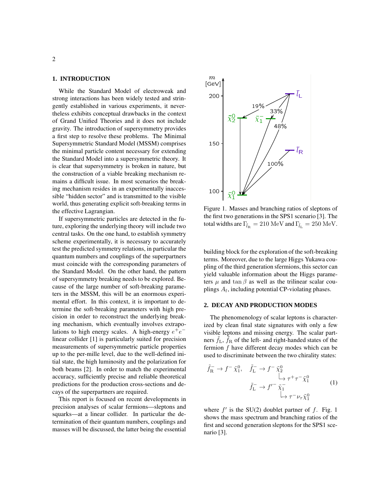## **1. INTRODUCTION**

While the Standard Model of electroweak and strong interactions has been widely tested and stringently established in various experiments, it nevertheless exhibits conceptual drawbacks in the context of Grand Unified Theories and it does not include gravity. The introduction of supersymmetry provides a first step to resolve these problems. The Minimal Supersymmetric Standard Model (MSSM) comprises the minimal particle content necessary for extending <sup>1</sup> the Standard Model into a supersymmetric theory. It is clear that supersymmetry is broken in nature, but the construction of a viable breaking mechanism remains a difficult issue. In most scenarios the breaking mechanism resides in an experimentally inaccessible "hidden sector" and is transmitted to the visible world, thus generating explicit soft-breaking terms in the effective Lagrangian.

If supersymmetric particles are detected in the future, exploring the underlying theory will include two central tasks. On the one hand, to establish symmetry scheme experimentally, it is necessary to accurately test the predicted symmetry relations, in particular the quantum numbers and couplings of the superpartners must coincide with the corresponding parameters of the Standard Model. On the other hand, the pattern of supersymmetry breaking needs to be explored. Because of the large number of soft-breaking parameters in the MSSM, this will be an enormous experimental effort. In this context, it is important to determine the soft-breaking parameters with high precision in order to reconstruct the underlying breaking mechanism, which eventually involves extrapolations to high energy scales. A high-energy  $e^+e^$ linear collider [1] is particularly suited for precision measurements of supersymmetric particle properties up to the per-mille level, due to the well-defined initial state, the high luminosity and the polarization for both beams [2]. In order to match the experimental accuracy, sufficiently precise and reliable theoretical predictions for the production cross-sections and decays of the superpartners are required.

This report is focused on recent developments in precision analyses of scalar fermions—sleptons and squarks—at a linear collider. In particular the determination of their quantum numbers, couplings and masses will be discussed, the latter being the essential



Figure 1. Masses and branching ratios of sleptons of the first two generations in the SPS1 scenario [3]. The total widths are  $\Gamma_{\tilde l_{\rm R}}=210\ {\rm MeV}$  and  $\Gamma_{\tilde l_{\rm L}}=250\ {\rm MeV}.$ 

building block for the exploration of the soft-breaking terms. Moreover, due to the large Higgs Yukawa coupling of the third generation sfermions, this sector can yield valuable information about the Higgs parameters  $\mu$  and tan  $\beta$  as well as the trilinear scalar couplings  $A_f$ , including potential CP-violating phases.

#### **2. DECAY AND PRODUCTION MODES**

The phenomenology of scalar leptons is characterized by clean final state signatures with only a few visible leptons and missing energy. The scalar partners  $\tilde{f}_L$ ,  $\tilde{f}_R$  of the left- and right-handed states of the fermion f have different decay modes which can be used to discriminate between the two chirality states:

$$
\tilde{f}_{\overline{\mathcal{R}}} \to f^- \tilde{\chi}_1^0, \quad \tilde{f}_{\overline{\mathcal{L}}} \to f^- \tilde{\chi}_2^0
$$
\n
$$
\downarrow \qquad \downarrow \qquad \tau^+ \tau^- \tilde{\chi}_1^0
$$
\n
$$
\tilde{f}_{\overline{\mathcal{L}}} \to f'^- \tilde{\chi}_1^-
$$
\n
$$
\downarrow \qquad \downarrow \qquad \tau^- \nu_\tau \tilde{\chi}_1^0
$$
\n(1)

where  $f'$  is the SU(2) doublet partner of  $f$ . Fig. 1 shows the mass spectrum and branching ratios of the first and second generation sleptons for the SPS1 scenario [3].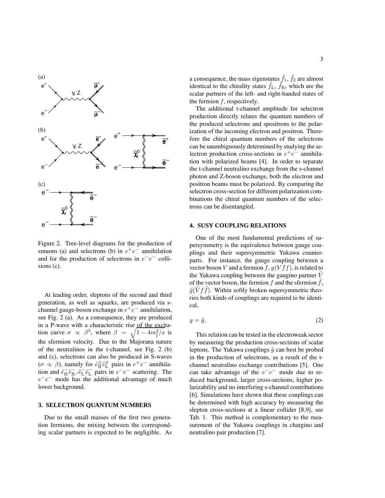

Figure 2. Tree-level diagrams for the production of smuons (a) and selectrons (b) in  $e^+e^-$  annihilation and for the production of selectrons in  $e^-e^-$  collisions (c).

At leading order, sleptons of the second and third generation, as well as squarks, are produced via schannel gauge-boson exchange in  $e^+e^-$  annihilation, see Fig. 2 (a). As a consequence, they are produced in a P-wave with a characteristic rise of the excitation curve  $\sigma \propto \beta^3$ , where  $\beta = \sqrt{1 - 4m_{\tilde{f}}^2/s}$  is the sfermion velocity. Due to the Majorana nature of the neutralinos in the t-channel, see Fig. 2 (b) and (c), selectrons can also be produced in S-waves  $(\sigma \propto \beta)$ , namely for  $\tilde{e}_R^{\pm} \tilde{e}_L^{\mp}$  pairs in  $e^+e^-$  annihilation and  $\tilde{e}_R^- \tilde{e}_R^-$ ,  $\tilde{e}_L^- \tilde{e}_L^-$  pairs in  $e^- e^-$  scattering. The  $e^-e^-$  mode has the additional advantage of much lower background.

#### **3. SELECTRON QUANTUM NUMBERS**

Due to the small masses of the first two generation fermions, the mixing between the corresponding scalar partners is expected to be negligible. As

a consequence, the mass eigenstates  $\tilde{f}_1, \, \tilde{f}_2$  are almost identical to the chirality states  $\tilde{f}_L$ ,  $\tilde{f}_R$ , which are the scalar partners of the left- and right-handed states of the fermion  $f$ , respectively.

The additional t-channel amplitude for selectron production directly relates the quantum numbers of the produced selectrons and spositrons to the polarization of the incoming electron and positron. Therefore the chiral quantum numbers of the selectrons can be unambiguously determined by studying the selectron production cross-sections in  $e^+e^-$  annihilation with polarized beams [4]. In order to separate the t-channel neutralino exchange from the s-channel photon and Z-boson exchange, both the electron and positron beams must be polarized. By comparing the selectron cross-section for different polarization combinations the chiral quantum numbers of the selectrons can be disentangled.

# **4. SUSY COUPLING RELATIONS**

One of the most fundamental predictions of supersymmetry is the equivalence between gauge couplings and their supersymmetric Yukawa counterparts. For instance, the gauge coupling between a vector boson V and a fermion f,  $g(Vff)$ , is related to the Yukawa coupling between the gaugino partner  $V$ of the vector boson, the fermion  $f$  and the sfermion  $f$ ,  $\hat{g}(V f f)$ . Within softly broken supersymmetric theories both kinds of couplings are required to be identical,

$$
g = \hat{g}.\tag{2}
$$

This relation can be tested in the electroweak sector by measuring the production cross-sections of scalar leptons. The Yukawa couplings  $\hat{g}$  can best be probed in the production of selectrons, as a result of the tchannel neutralino exchange contributions [5]. One can take advantage of the  $e^-e^-$  mode due to reduced background, larger cross-sections, higher polarizability and no interfering s-channel contributions [6]. Simulations have shown that these couplings can be determined with high accuracy by measuring the slepton cross-sections at a linear collider [8,9], see Tab. 1. This method is complementary to the measurement of the Yukawa couplings in chargino and neutralino pair production [7].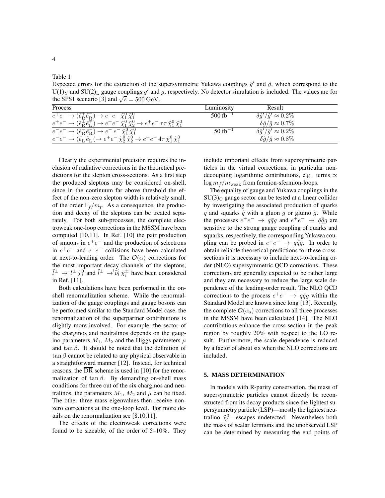Table 1

4

Expected errors for the extraction of the supersymmetric Yukawa couplings  $\hat{g}'$  and  $\hat{g}$ , which correspond to the U(1)<sub>Y</sub> and SU(2)<sub>L</sub> gauge couplings  $g'$  and  $g$ , respectively. No detector simulation is included. The values are for the SPS1 scenario [3] and  $\sqrt{s} = 500 \text{ GeV}$ .

| Process                                                                                                                                                                        | Luminositv             | Result                                   |  |
|--------------------------------------------------------------------------------------------------------------------------------------------------------------------------------|------------------------|------------------------------------------|--|
| $e^+e^- \to (\tilde{e}_R^+\tilde{e}_R^-) \to e^+e^- \tilde{\chi}_1^0 \tilde{\chi}_1^0$                                                                                         | $500$ fb <sup>-1</sup> | $\delta \hat{g}'/\hat{g}' \approx 0.2\%$ |  |
| $e^+e^- \rightarrow (\tilde{e}_R^{\pm} \tilde{e}_L^{\mp}) \rightarrow e^+e^- \tilde{\chi}_1^0 \tilde{\chi}_2^0 \rightarrow e^+e^- \tau \tau \tilde{\chi}_1^0 \tilde{\chi}_1^0$ |                        | $\delta \hat{g}/\hat{g} \approx 0.7\%$   |  |
| $e^-e^- \rightarrow (\tilde{e}_R^- \tilde{e}_R^-) \rightarrow e^- e^- \tilde{\chi}_1^0 \tilde{\chi}_1^0$                                                                       | $50$ fb <sup>-1</sup>  | $\delta \hat{g}'/\hat{g}' \approx 0.2\%$ |  |
| $e^-e^- \to (\tilde{e}_L^- \tilde{e}_L^- (\to e^+e^- \tilde{\chi}_2^0 \tilde{\chi}_2^0 \to e^+e^- 4\tau \tilde{\chi}_1^0 \tilde{\chi}_1^0$                                     |                        | $\delta \hat{g}/\hat{g} \approx 0.8\%$   |  |

Clearly the experimental precision requires the inclusion of radiative corrections in the theoretical predictions for the slepton cross-sections. As a first step the produced sleptons may be considered on-shell, since in the continuum far above threshold the effect of the non-zero slepton width is relatively small, of the order  $\Gamma_{\tilde{f}}/m_{\tilde{f}}$ . As a consequence, the production and decay of the sleptons can be treated separately. For both sub-processes, the complete electroweak one-loop corrections in the MSSM have been computed [10,11]. In Ref. [10] the pair production of smuons in  $e^+e^-$  and the production of selectrons in  $e^+e^-$  and  $e^-e^-$  collisions have been calculated at next-to-leading order. The  $\mathcal{O}(\alpha)$  corrections for the most important decay channels of the sleptons,  $\tilde{l}^{\pm} \to l^{\pm} \tilde{\chi}_i^0$  and  $\tilde{l}^{\pm} \to \tilde{\nu}_l \tilde{\chi}_i^{\pm}$  have been considered in Ref. [11].

Both calculations have been performed in the onshell renormalization scheme. While the renormalization of the gauge couplings and gauge bosons can be performed similar to the Standard Model case, the renormalization of the superpartner contributions is slightly more involved. For example, the sector of the charginos and neutralinos depends on the gaugino parameters  $M_1$ ,  $M_2$  and the Higgs parameters  $\mu$ and tan  $\beta$ . It should be noted that the definition of  $\tan \beta$  cannot be related to any physical observable in a straightforward manner [12]. Instead, for technical reasons, the  $\overline{DR}$  scheme is used in [10] for the renormalization of tan  $\beta$ . By demanding on-shell mass conditions for three out of the six charginos and neutralinos, the parameters  $M_1$ ,  $M_2$  and  $\mu$  can be fixed. The other three mass eigenvalues then receive nonzero corrections at the one-loop level. For more details on the renormalization see [8,10,11].

The effects of the electroweak corrections were found to be sizeable, of the order of 5–10%. They include important effects from supersymmetric particles in the virtual corrections, in particular nondecoupling logarithmic contributions, e.g. terms  $\propto$  $\log m_{\tilde{f}}/m_{\text{weak}}$  from fermion-sfermion-loops.

The equality of gauge and Yukawa couplings in the  $SU(3)<sub>C</sub>$  gauge sector can be tested at a linear collider by investigating the associated production of quarks q and squarks  $\tilde{q}$  with a gluon g or gluino  $\tilde{g}$ . While the processes  $e^+e^- \rightarrow q\bar{q}g$  and  $e^+e^- \rightarrow \tilde{q}\tilde{q}g$  are sensitive to the strong gauge coupling of quarks and squarks, respectively, the corresponding Yukawa coupling can be probed in  $e^+e^- \rightarrow q\bar{\tilde{q}}\tilde{g}$ . In order to obtain reliable theoretical predictions for these crosssections it is necessary to include next-to-leading order (NLO) supersymmetric QCD corrections. These corrections are generally expected to be rather large and they are necessary to reduce the large scale dependence of the leading-order result. The NLO QCD corrections to the process  $e^+e^- \rightarrow q\bar{q}g$  within the Standard Model are known since long [13]. Recently, the complete  $\mathcal{O}(\alpha_s)$  corrections to all three processes in the MSSM have been calculated [14]. The NLO contributions enhance the cross-section in the peak region by roughly 20% with respect to the LO result. Furthermore, the scale dependence is reduced by a factor of about six when the NLO corrections are included.

# **5. MASS DETERMINATION**

In models with R-parity conservation, the mass of supersymmetric particles cannot directly be reconstructed from its decay products since the lightest supersymmetry particle (LSP)—mostly the lightest neutralino  $\tilde{\chi}_1^0$ —escapes undetected. Nevertheless both the mass of scalar fermions and the unobserved LSP can be determined by measuring the end points of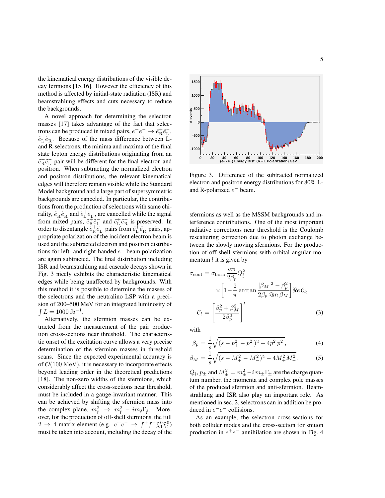the kinematical energy distributions of the visible decay fermions [15,16]. However the efficiency of this method is affected by initial-state radiation (ISR) and beamstrahlung effects and cuts necessary to reduce the backgrounds.

A novel approach for determining the selectron masses [17] takes advantage of the fact that selectrons can be produced in mixed pairs,  $e^+e^- \rightarrow \tilde{e}_R^+\tilde{e}_L^-,$  $\tilde{e}_L^+ \tilde{e}_R^-$ . Because of the mass difference between Land R-selectrons, the minima and maxima of the final state lepton energy distributions originating from an  $\tilde{e}^+_{\rm R} \tilde{e}^-_{\rm L}$  pair will be different for the final electron and positron. When subtracting the normalized electron and positron distributions, the relevant kinematical edges will therefore remain visible while the Standard Model background and a large part of supersymmetric backgrounds are canceled. In particular, the contributions from the production of selectrons with same chirality,  $\tilde{e}^+_{\rm R} \tilde{e}^-_{\rm R}$  and  $\tilde{e}^+_{\rm L} \tilde{e}^-_{\rm L}$ , are cancelled while the signal from mixed pairs,  $\tilde{e}_R^+ \tilde{e}_L^-$  and  $\tilde{e}_L^+ \tilde{e}_R^-$  is preserved. In order to disentangle  $\tilde{e}^+_{\rm R} \tilde{e}^-_{\rm L}$  pairs from  $\tilde{e}^+_{\rm L} \tilde{e}^-_{\rm R}$  pairs, appropriate polarization of the incident electron beam is used and the subtracted electron and positron distributions for left- and right-handed  $e^-$  beam polarization are again subtracted. The final distribution including ISR and beamstrahlung and cascade decays shown in Fig. 3 nicely exhibits the characteristic kinematical edges while being unaffected by backgrounds. With this method it is possible to determine the masses of the selectrons and the neutralino LSP with a precision of 200–500 MeV for an integrated luminosity of  $\int L = 1000$  fb<sup>-1</sup>.

Alternatively, the sfermion masses can be extracted from the measurement of the pair production cross-sections near threshold. The characteristic onset of the excitation curve allows a very precise determination of the sfermion masses in threshold scans. Since the expected experimental accuracy is of  $\mathcal{O}(100 \text{ MeV})$ , it is necessary to incorporate effects beyond leading order in the theoretical predictions [18]. The non-zero widths of the sfermions, which considerably affect the cross-sections near threshold, must be included in a gauge-invariant manner. This can be achieved by shifting the sfermion mass into the complex plane,  $m_{\tilde{f}}^2 \rightarrow m_{\tilde{f}}^2 - i m_{\tilde{f}} \Gamma_{\tilde{f}}$ . Moreover, for the production of off-shell sfermions, the full  $2 \rightarrow 4$  matrix element (e.g.  $e^+e^- \rightarrow f^+f^- \tilde{\chi}^0_1 \tilde{\chi}^0_1$ ) must be taken into account, including the decay of the



Figure 3. Difference of the subtracted normalized electron and positron energy distributions for 80% Land R-polarized  $e^-$  beam.

sfermions as well as the MSSM backgrounds and interference contributions. One of the most important radiative corrections near threshold is the Coulomb rescattering correction due to photon exchange between the slowly moving sfermions. For the production of off-shell sfermions with orbital angular momentum  $l$  it is given by

$$
\sigma_{\text{coul}} = \sigma_{\text{born}} \frac{\alpha \pi}{2\beta_p} Q_{\tilde{f}}^2
$$

$$
\times \left[ 1 - \frac{2}{\pi} \arctan \frac{|\beta_M|^2 - \beta_p^2}{2\beta_p \Im m \beta_M} \right] \Re e C_l,
$$

$$
C_l = \left[ \frac{\beta_p^2 + \beta_M^2}{2\beta_p^2} \right]^l \tag{3}
$$

with

$$
\beta_p = \frac{1}{s} \sqrt{(s - p_+^2 - p_-^2)^2 - 4p_+^2 p_-^2},\tag{4}
$$

$$
\beta_M = \frac{1}{s} \sqrt{(s - M_+^2 - M_-^2)^2 - 4M_+^2 M_-^2}.
$$
 (5)

 $Q_{\tilde{\text{f}}}$ ,  $p_{\pm}$  and  $M_{\pm}^2 = m_{\pm}^2 - i \, m_{\pm} \Gamma_{\pm}$  are the charge quantum number, the momenta and complex pole masses of the produced sfermion and anti-sfermion. Beamstrahlung and ISR also play an important role. As mentioned in sec. 2, selectrons can in addition be produced in  $e^-e^-$  collisions.

As an example, the selectron cross-sections for both collider modes and the cross-section for smuon production in  $e^+e^-$  annihilation are shown in Fig. 4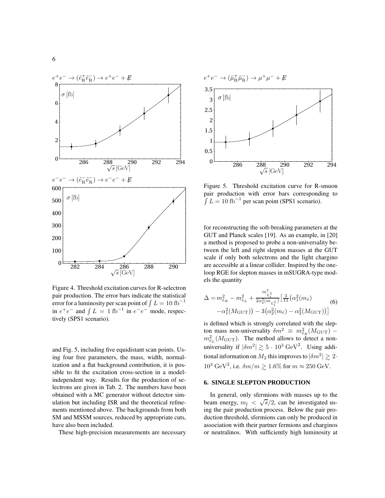

Figure 4. Threshold excitation curves for R-selectron pair production. The error bars indicate the statistical error for a luminosity per scan point of  $\int L = 10$  fb<sup>-1</sup> in  $e^+e^-$  and  $\int L = 1$  fb<sup>-1</sup> in  $e^-e^-$  mode, respectively (SPS1 scenario).

and Fig. 5, including five equidistant scan points. Using four free parameters, the mass, width, normalization and a flat background contribution, it is possible to fit the excitation cross-section in a modelindependent way. Results for the production of selectrons are given in Tab. 2. The numbers have been obtained with a MC generator without detector simulation but including ISR and the theoretical refinements mentioned above. The backgrounds from both SM and MSSM sources, reduced by appropriate cuts, have also been included.

These high-precision measurements are necessary



Figure 5. Threshold excitation curve for R-smuon pair production with error bars corresponding to  $\int L = 10$  fb<sup>-1</sup> per scan point (SPS1 scenario).

for reconstructing the soft-breaking parameters at the GUT and Planck scales [19]. As an example, in [20] a method is proposed to probe a non-universality between the left and right slepton masses at the GUT scale if only both selectrons and the light chargino are accessible at a linear collider. Inspired by the oneloop RGE for slepton masses in mSUGRA-type models the quantity

$$
\Delta = m_{\tilde{e}_R}^2 - m_{\tilde{e}_L}^2 + \frac{m_{\tilde{\chi}_1^{\pm}}^2}{2\alpha_2^2(m_{\tilde{\chi}_1^{\pm}})} \Big[ \frac{3}{11} \big( \alpha_1^2(m_{\tilde{e}}) -\alpha_1^2(M_{\text{GUT}}) \big) - 3 \big( \alpha_2^2(m_{\tilde{e}}) - \alpha_2^2(M_{\text{GUT}}) \big) \Big]
$$
(6)

is defined which is strongly correlated with the slepton mass non-universality  $\delta m^2 \equiv m_{\tilde{e}_R}^2 (M_{\text{GUT}})$  $m_{\tilde{e}_L}^2(M_{\text{GUT}})$ . The method allows to detect a nonuniversality if  $|\delta m^2| \gtrsim 5 \cdot 10^3 \text{ GeV}^2$ . Using additional information on  $M_2$  this improves to  $|\delta m^2| \gtrsim 2 \cdot$  $10^3 \text{ GeV}^2$ , i.e.  $\delta m/m \gtrsim 1.6\%$  for  $m \approx 250 \text{ GeV}$ .

# **6. SINGLE SLEPTON PRODUCTION**

In general, only sfermions with masses up to the beam energy,  $m_{\tilde{f}} < \sqrt{s}/2$ , can be investigated using the pair production process. Below the pair production threshold, sfermions can only be produced in association with their partner fermions and charginos or neutralinos. With sufficiently high luminosity at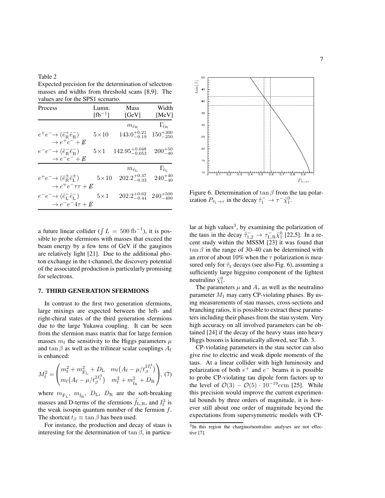Table 2 Expected precision for the determination of selectron masses and widths from threshold scans [8,9]. The values are for the SPS1 scenario.

| Process                                                                                 | Lumn.<br>$[fb^{-1}]$ | <b>Mass</b><br>[GeV]         | Width<br>[MeV]               |
|-----------------------------------------------------------------------------------------|----------------------|------------------------------|------------------------------|
|                                                                                         |                      | $m_{\tilde{e}_{\mathrm{R}}}$ | $\Gamma_{\tilde{e}_{\rm R}}$ |
| $e^+e^- \rightarrow (\tilde{e}^+_R \tilde{e}^-_R)$                                      | $5\times10$          | $143.0^{+0.21}_{-0.19}$      | $150^{+300}_{-250}$          |
| $\rightarrow e^+e^-+E$                                                                  |                      |                              |                              |
| $e^-e^- \rightarrow (\tilde{e}^-_{\rm R}\tilde{e}^-_{\rm R})$<br>$\rightarrow e^-e^-+E$ | $5\times1$           | $142.95^{+0.048}_{-0.053}$   | $200^{+50}_{-40}$            |
|                                                                                         |                      | $m_{\tilde{e}_\text{L}}$     | $\Gamma_{\tilde{e}_L}$       |
| $e^+e^- \rightarrow (\tilde{e}_{R}^{\pm}\tilde{e}_{L}^{\pm})$                           | $5\times10$          | $202.2^{+0.37}_{-0.33}$      | $240^{+40}_{-40}$            |
| $\rightarrow e^+e^-\tau\tau+E$                                                          |                      |                              |                              |
| $e^-e^- \rightarrow (\tilde{e}^-_L \tilde{e}^-_L)$                                      | $5\!\times\!1$       | $202.2^{+0.62}_{-0.44}$      | $240^{+500}_{-400}$          |
| $\rightarrow e^-e^-4\tau+E$                                                             |                      |                              |                              |

a future linear collider ( $\int L = 500$  fb<sup>-1</sup>), it is possible to probe sfermions with masses that exceed the beam energy by a few tens of GeV if the gauginos are relatively light [21]. Due to the additional photon exchange in the t-channel, the discovery potential of the associated production is particularly promising for selectrons.

# **7. THIRD GENERATION SFERMIONS**

In contrast to the first two generation sfermions, large mixings are expected between the left- and right-chiral states of the third generation sfermions due to the large Yukawa coupling. It can be seen from the sfermion mass matrix that for large fermion masses  $m_f$  the sensitivity to the Higgs parameters  $\mu$ and tan  $\beta$  as well as the trilinear scalar couplings  $A_f$ is enhanced:

$$
M_{\tilde{\rm f}}^2 = \begin{pmatrix} m_{\tilde{\rm f}}^2 + m_{\tilde{\rm F}_{\rm L}}^2 + D_{\rm L} & m_{\rm f} \left( A_{\rm f} - \mu / t_{\beta}^{2I_{\rm f}^3} \right) \\ m_{\rm f} \left( A_{\rm f} - \mu / t_{\beta}^{2I_{\rm f}^3} \right) & m_{\rm f}^2 + m_{\tilde{\rm f}_{\rm R}}^2 + D_{\rm R} \end{pmatrix}, (7)
$$

where  $m_{\tilde{F}_{L}}$ ,  $m_{\tilde{f}_{R}}$ ,  $D_{L}$ ,  $D_{R}$  are the soft-breaking masses and D-terms of the sfermions  $\tilde{f}_{L,R}$ , and  $I_f^3$  is the weak isospin quantum number of the fermion  $f$ . The shortcut  $t_\beta \equiv \tan \beta$  has been used.

For instance, the production and decay of staus is interesting for the determination of tan  $\beta$ , in particu-



Figure 6. Determination of  $\tan \beta$  from the tau polarization  $P_{\tilde{\tau}_1 \to \tau}$  in the decay  $\tilde{\tau}_1^- \to \tau^- \tilde{\chi}_1^0$ .

lar at high values<sup>3</sup>, by examining the polarization of the taus in the decay  $\tilde{\tau}_{1,2}^{-} \to \tau_{\text{L,R}}^{-} \tilde{\chi}_{1}^{0}$  [22,5]. In a recent study within the  $\overline{MSSM}$  [23] it was found that  $\tan \beta$  in the range of 30–40 can be determined with an error of about 10% when the  $\tau$  polarization is measured only for  $\tilde{\tau}_1$  decays (see also Fig. 6), assuming a sufficiently large higgsino component of the lightest neutralino  $\tilde{\chi}_1^0$ .

The parameters  $\mu$  and  $A_{\tau}$  as well as the neutralino parameter  $M_1$  may carry CP-violating phases. By using measurements of stau masses, cross-sections and branching ratios, it is possible to extract these parameters including their phases from the stau system. Very high accuracy on all involved parameters can be obtained [24] if the decay of the heavy staus into heavy Higgs bosons is kinematically allowed, see Tab. 3.

CP-violating parameters in the stau sector can also give rise to electric and weak dipole moments of the taus. At a linear collider with high luminosity and polarization of both  $e^+$  and  $e^-$  beams it is possible to probe CP-violating tau dipole form factors up to the level of  $\mathcal{O}(3) - \mathcal{O}(5) \cdot 10^{-19}$ ecm [25]. While this precision would improve the current experimental bounds by three orders of magnitude, it is however still about one order of magnitude beyond the expectations from supersymmetric models with CP-

<sup>&</sup>lt;sup>3</sup>In this region the chargino/neutralino analyses are not effective [7].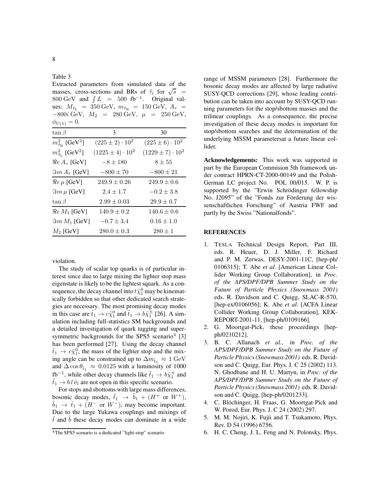Extracted parameters from simulated data of the masses, cross-sections and BRs of  $\tilde{\tau}_i$  for  $\sqrt{s}$  = 800 GeV and  $\int L = 500$  fb<sup>-1</sup>. Original values:  $M_{\tilde{\tau}_{\rm L}} = 350 \text{ GeV}, m_{\tilde{\tau}_{\rm R}} = 150 \text{ GeV}, A_{\tau} =$ −800*i* GeV,  $M_2$  = 280 GeV,  $\mu$  = 250 GeV,  $\phi_{U(1)} = 0.$  $\tan \beta$  3 30  $m_{\tilde{\tau}_{\mathrm{R}}}^2$  [GeV<sup>2</sup>  $(225 \pm 2) \cdot 10^{2}$  $(225 \pm 6) \cdot 10^{2}$  $m^2_{\tilde{\tau}_{\rm L}}$  [GeV $^2$  $(1225 \pm 4) \cdot 10^{2}$  $(1229 \pm 7)\cdot 10^{2}$  $\Re e A_{\tau}$  [GeV]  $-8 \pm 180$  8  $\pm 55$  $\Im m A_{\tau}$  [GeV]  $-800 \pm 70$   $-800 \pm 21$  $\Re e \mu$  [GeV]  $249.9 \pm 0.26$   $249.9 \pm 0.6$  $\Im m \mu$  [GeV]  $2.4 \pm 1.7$   $-0.2 \pm 3.8$ tan  $\beta$  2.99  $\pm$  0.03 29.9  $\pm$  0.7  $\Re$ e  $M_1$  [GeV]  $140.9 \pm 0.2$   $140.6 \pm 0.6$  $\Im m M_1$  [GeV]  $-0.7 \pm 3.4$  0.16  $\pm 1.0$  $M_2$  [GeV]  $280.0 \pm 0.3$   $280 \pm 1$ 

violation.

The study of scalar top quarks is of particular interest since due to large mixing the lighter stop mass eigenstate is likely to be the lightest squark. As a consequence, the decay channel into  $t \tilde{\chi}^0_1$  may be kinematically forbidden so that other dedicated search strategies are necessary. The most promising decay modes in this case are  $\tilde{t}_1 \to c \tilde{\chi}_1^0$  and  $\tilde{t}_1 \to b \tilde{\chi}_1^{\pm}$  [26]. A simulation including full-statistics SM backgrounds and a detailed investigation of quark tagging and supersymmetric backgrounds for the SPS5 scenario<sup>4</sup> [3] has been performed [27]. Using the decay channel  $\tilde{t}_1 \rightarrow c \tilde{\chi}_1^0$ , the mass of the lighter stop and the mixing angle can be constrained up to  $\Delta m_{\tilde{t}_1} \approx 1 \text{ GeV}$ and  $\Delta \cos \theta_{\tilde{t}_1} \approx 0.0125$  with a luminosity of 1000  $f\mathbf{b}^{-1}$ , while other decay channels like  $\tilde{t}_1 \to b\tilde{\chi}_1^{\pm}$  and  $t_1 \rightarrow bl \tilde{\nu}_l$  are not open in this specific scenario.

For stops and sbottoms with large mass differences, bosonic decay modes,  $\tilde{t}_1 \rightarrow \tilde{b}_1 + (H^+ \text{ or } W^+),$  $\tilde{b}_1 \rightarrow \tilde{t}_1 + (H^- \text{ or } W^-)$ , may become important. Due to the large Yukawa couplings and mixings of  $\tilde{t}$  and b these decay modes can dominate in a wide

range of MSSM parameters [28]. Furthermore the bosonic decay modes are affected by large radiative SUSY-QCD corrections [29], whose leading contribution can be taken into account by SUSY-QCD running parameters for the stop/sbottom masses and the trilinear couplings. As a consequence, the precise investigation of these decay modes is important for stop/sbottom searches and the determination of the underlying MSSM parametersat a future linear collider.

**Acknowledgements:** This work was supported in part by the European Commision 5th framework under contract HPRN-CT-2000-00149 and the Polish-German LC project No. POL 00/015. W. P. is supported by the "Erwin Schrödinger fellowship No. J2095" of the "Fonds zur Förderung der wissenschaftlichen Forschung" of Austria FWF and partly by the Swiss "Nationalfonds".

## **REFERENCES**

- 1. TESLA Technical Design Report, Part III, eds. R. Heuer, D. J. Miller, F. Richard and P. M. Zerwas, DESY-2001-11C, [hep-ph/ 0106315]; T. Abe *et al.* [American Linear Collider Working Group Collaboration], in *Proc. of the APS/DPF/DPB Summer Study on the Future of Particle Physics (Snowmass 2001)* eds. R. Davidson and C. Quigg, SLAC-R-570, [hep-ex/0106056]; K. Abe *et al.* [ACFA Linear Collider Working Group Collaboration], KEK-REPORT-2001-11, [hep-ph/0109166].
- 2. G. Moortgat-Pick, these proceedings [hepph/0210212].
- 3. B. C. Allanach *et al.*, in *Proc. of the APS/DPF/DPB Summer Study on the Future of Particle Physics (Snowmass 2001)* eds. R. Davidson and C. Quigg, Eur. Phys. J. C 25 (2002) 113. N. Ghodbane and H. U. Martyn, in *Proc. of the APS/DPF/DPB Summer Study on the Future of Particle Physics (Snowmass 2001)* eds. R. Davidson and C. Quigg, [hep-ph/0201233].
- 4. C. Blöchinger, H. Fraas, G. Moortgat-Pick and W. Porod, Eur. Phys. J. C 24 (2002) 297.
- 5. M. M. Nojiri, K. Fujii and T. Tsukamoto, Phys. Rev. D 54 (1996) 6756.
- 6. H. C. Cheng, J. L. Feng and N. Polonsky, Phys.

<sup>4</sup>The SPS5 scenario is a dedicated "light-stop" scenario